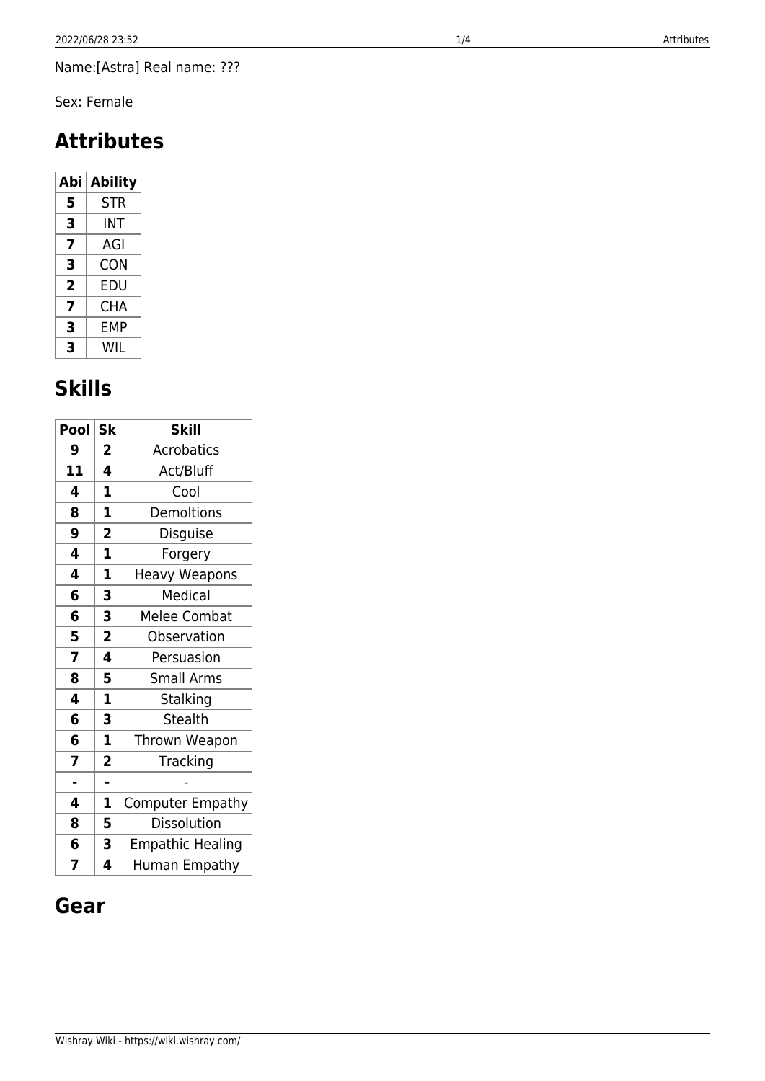Name:[Astra] Real name: ???

Sex: Female

# **Attributes**

| Abi | <b>Ability</b> |  |
|-----|----------------|--|
| 5   | <b>STR</b>     |  |
| 3   | INT            |  |
| 7   | AGI            |  |
| 3   | CON            |  |
| 2   | EDU            |  |
| 7   | CHA            |  |
| 3   | FMP            |  |
| 3   | WIL            |  |

# **Skills**

| Pool | <b>Sk</b>               | <b>Skill</b>            |
|------|-------------------------|-------------------------|
| 9    | 2                       | <b>Acrobatics</b>       |
| 11   | 4                       | Act/Bluff               |
| 4    | 1                       | Cool                    |
| 8    | 1                       | Demoltions              |
| 9    | $\overline{\mathbf{2}}$ | Disguise                |
| 4    | $\mathbf{1}$            | Forgery                 |
| 4    | $\mathbf{1}$            | <b>Heavy Weapons</b>    |
| 6    | 3                       | Medical                 |
| 6    | 3                       | <b>Melee Combat</b>     |
| 5    | $\overline{\mathbf{2}}$ | Observation             |
| 7    | 4                       | Persuasion              |
| 8    | 5                       | Small Arms              |
| 4    | $\overline{\mathbf{1}}$ | Stalking                |
| 6    | 3                       | <b>Stealth</b>          |
| 6    | $\mathbf 1$             | Thrown Weapon           |
| 7    | $\overline{\mathbf{c}}$ | Tracking                |
| L,   | ä,                      |                         |
| 4    | 1                       | <b>Computer Empathy</b> |
| 8    | 5                       | Dissolution             |
| 6    | 3                       | <b>Empathic Healing</b> |
| 7    | 4                       | Human Empathy           |

#### **Gear**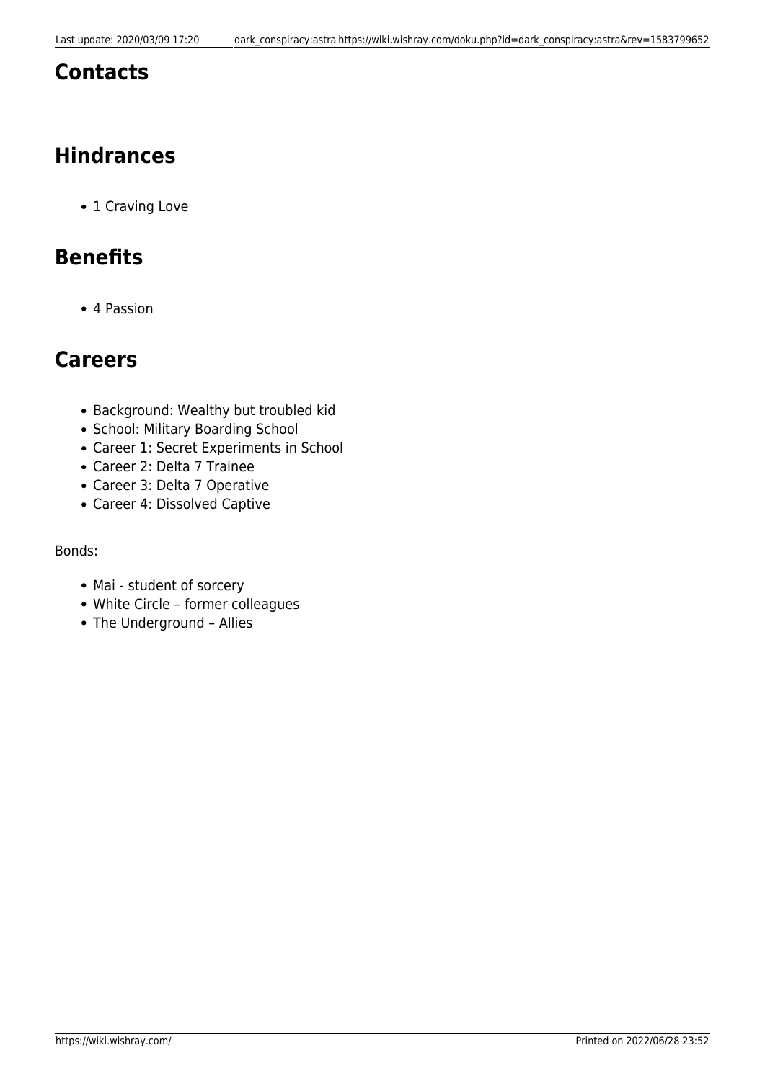#### **Contacts**

## **Hindrances**

• 1 Craving Love

### **Benefits**

4 Passion

#### **Careers**

- Background: Wealthy but troubled kid
- School: Military Boarding School
- Career 1: Secret Experiments in School
- Career 2: Delta 7 Trainee
- Career 3: Delta 7 Operative
- Career 4: Dissolved Captive

#### Bonds:

- Mai student of sorcery
- White Circle former colleagues
- The Underground Allies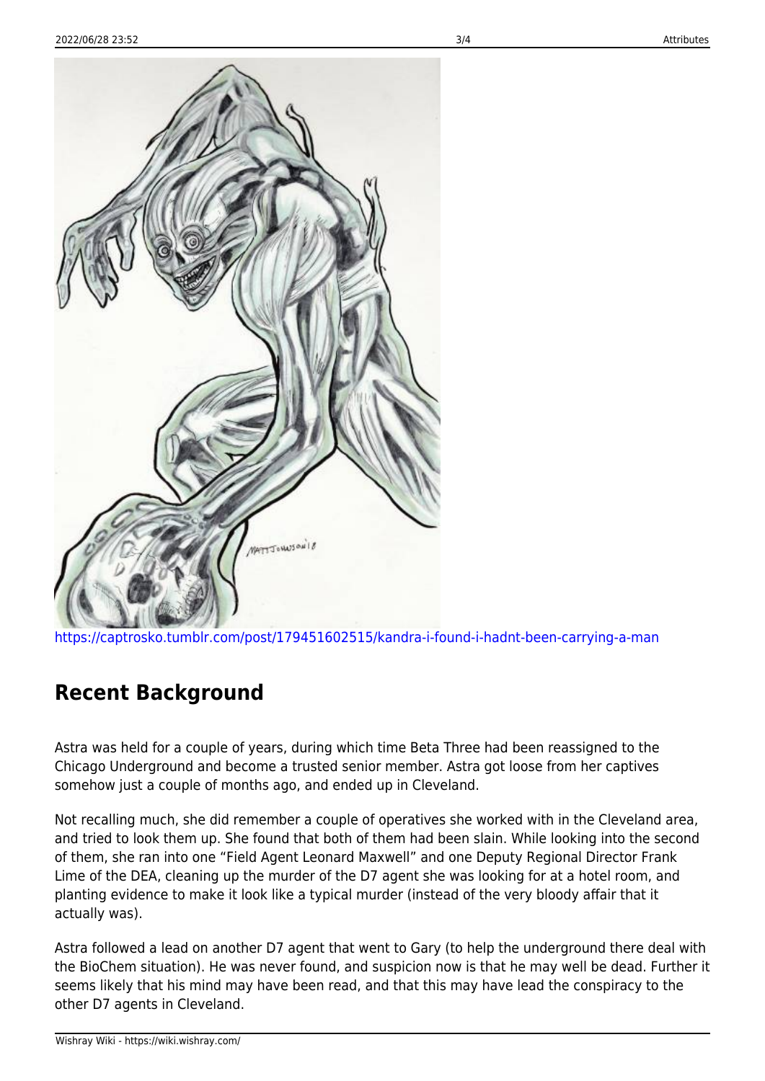

<https://captrosko.tumblr.com/post/179451602515/kandra-i-found-i-hadnt-been-carrying-a-man>

#### **Recent Background**

Astra was held for a couple of years, during which time Beta Three had been reassigned to the Chicago Underground and become a trusted senior member. Astra got loose from her captives somehow just a couple of months ago, and ended up in Cleveland.

Not recalling much, she did remember a couple of operatives she worked with in the Cleveland area, and tried to look them up. She found that both of them had been slain. While looking into the second of them, she ran into one "Field Agent Leonard Maxwell" and one Deputy Regional Director Frank Lime of the DEA, cleaning up the murder of the D7 agent she was looking for at a hotel room, and planting evidence to make it look like a typical murder (instead of the very bloody affair that it actually was).

Astra followed a lead on another D7 agent that went to Gary (to help the underground there deal with the BioChem situation). He was never found, and suspicion now is that he may well be dead. Further it seems likely that his mind may have been read, and that this may have lead the conspiracy to the other D7 agents in Cleveland.